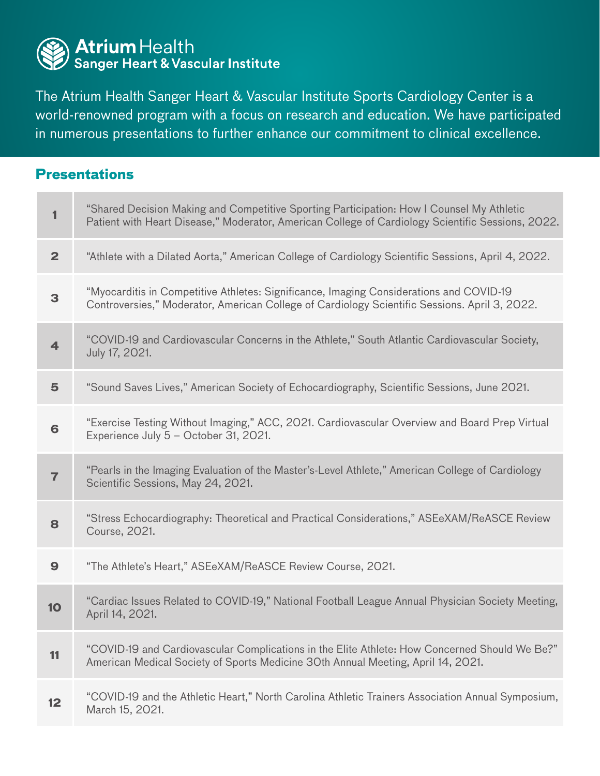

**Presentations**

The Atrium Health Sanger Heart & Vascular Institute Sports Cardiology Center is a world-renowned program with a focus on research and education. We have participated in numerous presentations to further enhance our commitment to clinical excellence.

## **<sup>1</sup>** "Shared Decision Making and Competitive Sporting Participation: How I Counsel My Athletic Patient with Heart Disease," Moderator, American College of Cardiology Scientific Sessions, 2022. **2** "Athlete with a Dilated Aorta," American College of Cardiology Scientific Sessions, April 4, 2022. **<sup>3</sup>** "Myocarditis in Competitive Athletes: Significance, Imaging Considerations and COVID-19 Controversies," Moderator, American College of Cardiology Scientific Sessions. April 3, 2022. **4** "COVID-19 and Cardiovascular Concerns in the Athlete," South Atlantic Cardiovascular Society, July 17, 2021. **5** "Sound Saves Lives," American Society of Echocardiography, Scientific Sessions, June 2021. **6** "Exercise Testing Without Imaging," ACC, 2021. Cardiovascular Overview and Board Prep Virtual Experience July 5 – October 31, 2021. **7** "Pearls in the Imaging Evaluation of the Master's-Level Athlete," American College of Cardiology Scientific Sessions, May 24, 2021. **<sup>8</sup>** "Stress Echocardiography: Theoretical and Practical Considerations," ASEeXAM/ReASCE Review Course, 2021. **9** "The Athlete's Heart," ASEeXAM/ReASCE Review Course, 2021. **10** "Cardiac Issues Related to COVID-19," National Football League Annual Physician Society Meeting, April 14, 2021. **<sup>11</sup>** "COVID-19 and Cardiovascular Complications in the Elite Athlete: How Concerned Should We Be?" American Medical Society of Sports Medicine 30th Annual Meeting, April 14, 2021. **12** "COVID-19 and the Athletic Heart," North Carolina Athletic Trainers Association Annual Symposium, March 15, 2021.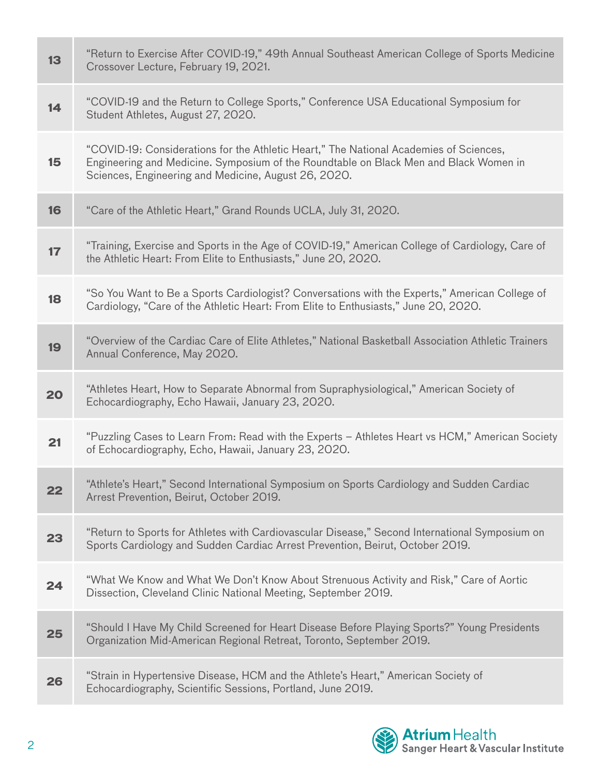| 13 | "Return to Exercise After COVID-19," 49th Annual Southeast American College of Sports Medicine<br>Crossover Lecture, February 19, 2021.                                                                                                 |
|----|-----------------------------------------------------------------------------------------------------------------------------------------------------------------------------------------------------------------------------------------|
| 14 | "COVID-19 and the Return to College Sports," Conference USA Educational Symposium for<br>Student Athletes, August 27, 2020.                                                                                                             |
| 15 | "COVID-19: Considerations for the Athletic Heart," The National Academies of Sciences,<br>Engineering and Medicine. Symposium of the Roundtable on Black Men and Black Women in<br>Sciences, Engineering and Medicine, August 26, 2020. |
| 16 | "Care of the Athletic Heart," Grand Rounds UCLA, July 31, 2020.                                                                                                                                                                         |
| 17 | "Training, Exercise and Sports in the Age of COVID-19," American College of Cardiology, Care of<br>the Athletic Heart: From Elite to Enthusiasts," June 20, 2020.                                                                       |
| 18 | "So You Want to Be a Sports Cardiologist? Conversations with the Experts," American College of<br>Cardiology, "Care of the Athletic Heart: From Elite to Enthusiasts," June 20, 2020.                                                   |
| 19 | "Overview of the Cardiac Care of Elite Athletes," National Basketball Association Athletic Trainers<br>Annual Conference, May 2020.                                                                                                     |
| 20 | "Athletes Heart, How to Separate Abnormal from Supraphysiological," American Society of<br>Echocardiography, Echo Hawaii, January 23, 2020.                                                                                             |
| 21 | "Puzzling Cases to Learn From: Read with the Experts - Athletes Heart vs HCM," American Society<br>of Echocardiography, Echo, Hawaii, January 23, 2020.                                                                                 |
| 22 | "Athlete's Heart," Second International Symposium on Sports Cardiology and Sudden Cardiac<br>Arrest Prevention, Beirut, October 2019.                                                                                                   |
| 23 | "Return to Sports for Athletes with Cardiovascular Disease," Second International Symposium on<br>Sports Cardiology and Sudden Cardiac Arrest Prevention, Beirut, October 2019.                                                         |
| 24 | "What We Know and What We Don't Know About Strenuous Activity and Risk," Care of Aortic<br>Dissection, Cleveland Clinic National Meeting, September 2019.                                                                               |
| 25 | "Should I Have My Child Screened for Heart Disease Before Playing Sports?" Young Presidents<br>Organization Mid-American Regional Retreat, Toronto, September 2019.                                                                     |
| 26 | "Strain in Hypertensive Disease, HCM and the Athlete's Heart," American Society of<br>Echocardiography, Scientific Sessions, Portland, June 2019.                                                                                       |

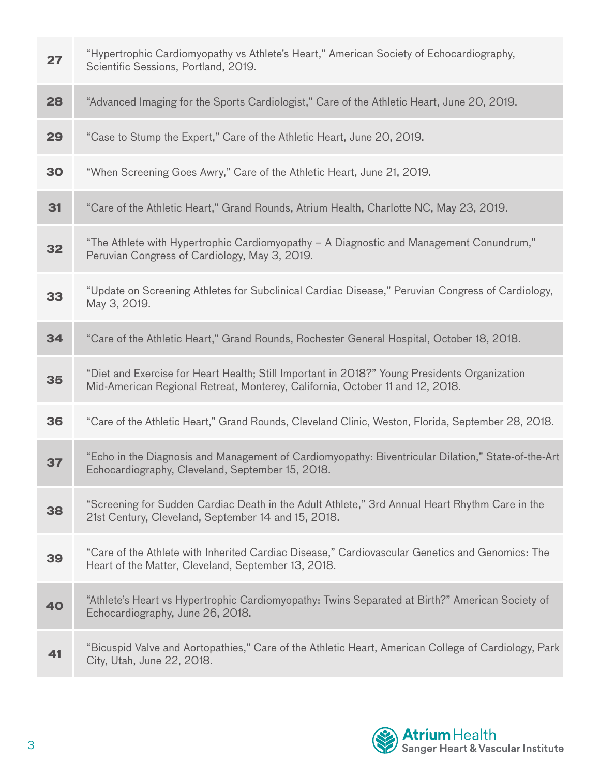| 27 | "Hypertrophic Cardiomyopathy vs Athlete's Heart," American Society of Echocardiography,<br>Scientific Sessions, Portland, 2019.                                               |
|----|-------------------------------------------------------------------------------------------------------------------------------------------------------------------------------|
| 28 | "Advanced Imaging for the Sports Cardiologist," Care of the Athletic Heart, June 20, 2019.                                                                                    |
| 29 | "Case to Stump the Expert," Care of the Athletic Heart, June 20, 2019.                                                                                                        |
| 30 | "When Screening Goes Awry," Care of the Athletic Heart, June 21, 2019.                                                                                                        |
| 31 | "Care of the Athletic Heart," Grand Rounds, Atrium Health, Charlotte NC, May 23, 2019.                                                                                        |
| 32 | "The Athlete with Hypertrophic Cardiomyopathy - A Diagnostic and Management Conundrum,"<br>Peruvian Congress of Cardiology, May 3, 2019.                                      |
| 33 | "Update on Screening Athletes for Subclinical Cardiac Disease," Peruvian Congress of Cardiology,<br>May 3, 2019.                                                              |
| 34 | "Care of the Athletic Heart," Grand Rounds, Rochester General Hospital, October 18, 2018.                                                                                     |
| 35 | "Diet and Exercise for Heart Health; Still Important in 2018?" Young Presidents Organization<br>Mid-American Regional Retreat, Monterey, California, October 11 and 12, 2018. |
| 36 | "Care of the Athletic Heart," Grand Rounds, Cleveland Clinic, Weston, Florida, September 28, 2018.                                                                            |
| 37 | "Echo in the Diagnosis and Management of Cardiomyopathy: Biventricular Dilation," State-of-the-Art<br>Echocardiography, Cleveland, September 15, 2018.                        |
| 38 | "Screening for Sudden Cardiac Death in the Adult Athlete," 3rd Annual Heart Rhythm Care in the<br>21st Century, Cleveland, September 14 and 15, 2018.                         |
| 39 | "Care of the Athlete with Inherited Cardiac Disease," Cardiovascular Genetics and Genomics: The<br>Heart of the Matter, Cleveland, September 13, 2018.                        |
| 40 | "Athlete's Heart vs Hypertrophic Cardiomyopathy: Twins Separated at Birth?" American Society of<br>Echocardiography, June 26, 2018.                                           |
| 41 | "Bicuspid Valve and Aortopathies," Care of the Athletic Heart, American College of Cardiology, Park<br>City, Utah, June 22, 2018.                                             |

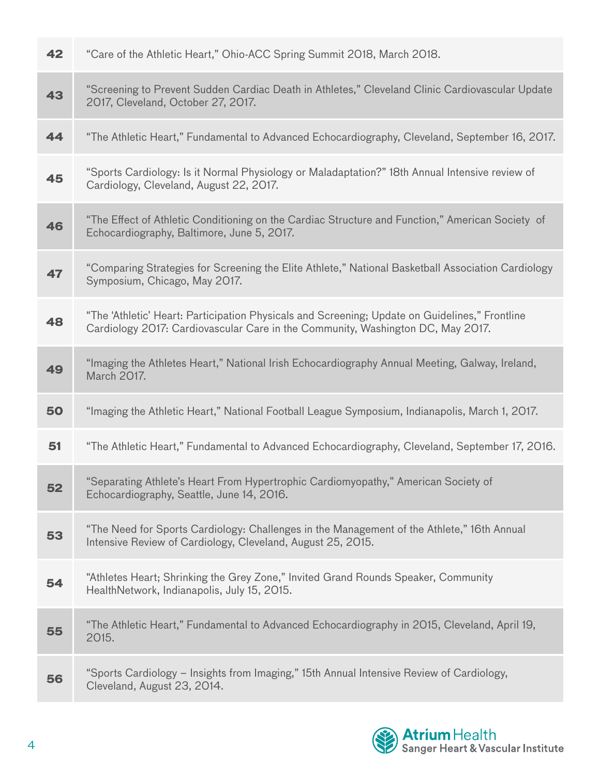| 42 | "Care of the Athletic Heart," Ohio-ACC Spring Summit 2018, March 2018.                                                                                                            |
|----|-----------------------------------------------------------------------------------------------------------------------------------------------------------------------------------|
| 43 | "Screening to Prevent Sudden Cardiac Death in Athletes," Cleveland Clinic Cardiovascular Update<br>2017, Cleveland, October 27, 2017.                                             |
| 44 | "The Athletic Heart," Fundamental to Advanced Echocardiography, Cleveland, September 16, 2017.                                                                                    |
| 45 | "Sports Cardiology: Is it Normal Physiology or Maladaptation?" 18th Annual Intensive review of<br>Cardiology, Cleveland, August 22, 2017.                                         |
| 46 | "The Effect of Athletic Conditioning on the Cardiac Structure and Function," American Society of<br>Echocardiography, Baltimore, June 5, 2017.                                    |
| 47 | "Comparing Strategies for Screening the Elite Athlete," National Basketball Association Cardiology<br>Symposium, Chicago, May 2017.                                               |
| 48 | "The 'Athletic' Heart: Participation Physicals and Screening; Update on Guidelines," Frontline<br>Cardiology 2017: Cardiovascular Care in the Community, Washington DC, May 2017. |
| 49 | "Imaging the Athletes Heart," National Irish Echocardiography Annual Meeting, Galway, Ireland,<br>March 2017.                                                                     |
| 50 | "Imaging the Athletic Heart," National Football League Symposium, Indianapolis, March 1, 2017.                                                                                    |
| 51 | "The Athletic Heart," Fundamental to Advanced Echocardiography, Cleveland, September 17, 2016.                                                                                    |
| 52 | "Separating Athlete's Heart From Hypertrophic Cardiomyopathy," American Society of<br>Echocardiography, Seattle, June 14, 2016.                                                   |
| 53 | "The Need for Sports Cardiology: Challenges in the Management of the Athlete," 16th Annual<br>Intensive Review of Cardiology, Cleveland, August 25, 2015.                         |
| 54 | "Athletes Heart; Shrinking the Grey Zone," Invited Grand Rounds Speaker, Community<br>HealthNetwork, Indianapolis, July 15, 2015.                                                 |
| 55 | "The Athletic Heart," Fundamental to Advanced Echocardiography in 2015, Cleveland, April 19,<br>2015.                                                                             |
| 56 | "Sports Cardiology – Insights from Imaging," 15th Annual Intensive Review of Cardiology,<br>Cleveland, August 23, 2014.                                                           |